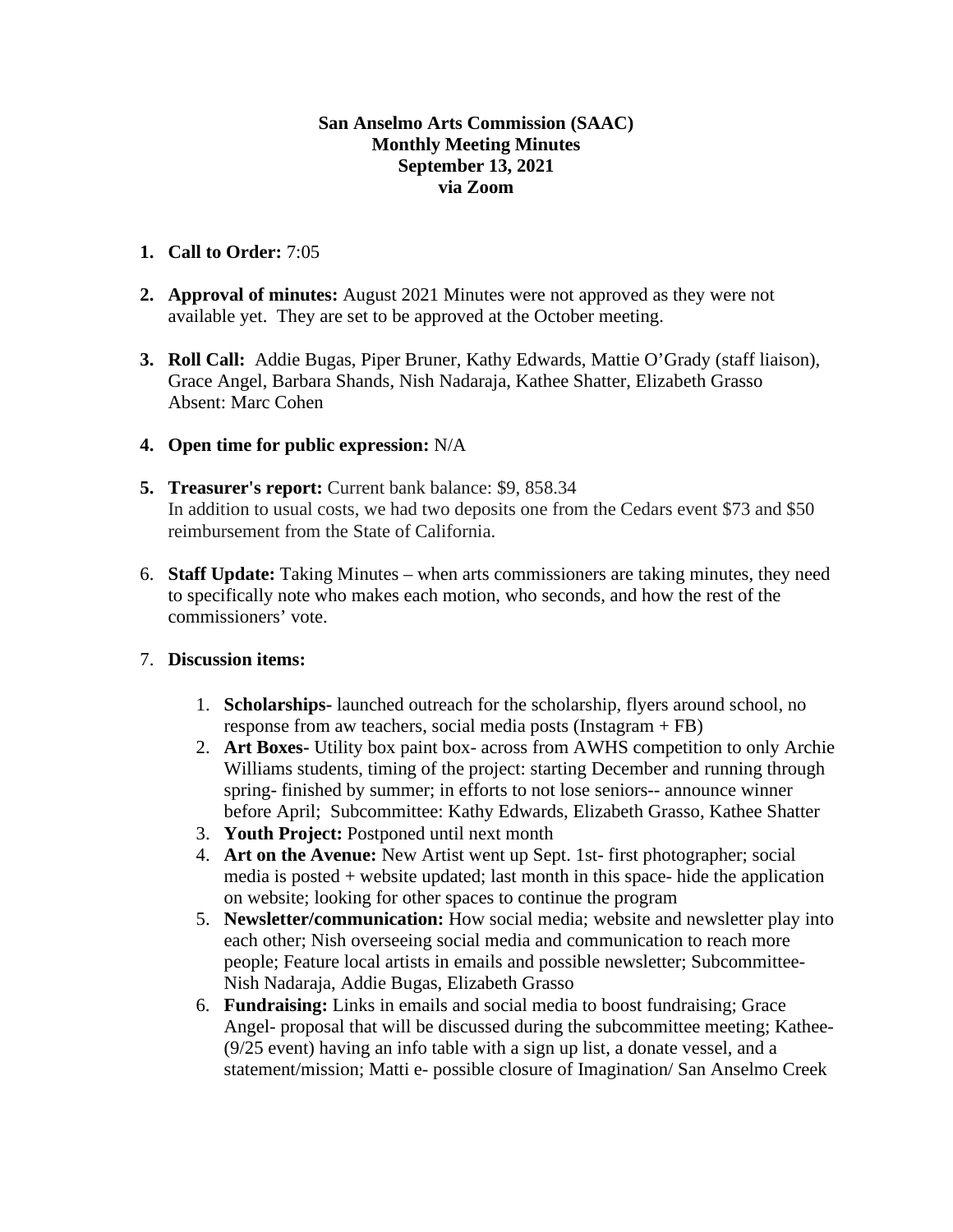## **San Anselmo Arts Commission (SAAC) Monthly Meeting Minutes September 13, 2021 via Zoom**

- **1. Call to Order:** 7:05
- **2. Approval of minutes:** August 2021 Minutes were not approved as they were not available yet. They are set to be approved at the October meeting.
- **3. Roll Call:** Addie Bugas, Piper Bruner, Kathy Edwards, Mattie O'Grady (staff liaison), Grace Angel, Barbara Shands, Nish Nadaraja, Kathee Shatter, Elizabeth Grasso Absent: Marc Cohen

## **4. Open time for public expression:** N/A

- **5. Treasurer's report:** Current bank balance: \$9, 858.34 In addition to usual costs, we had two deposits one from the Cedars event \$73 and \$50 reimbursement from the State of California.
- 6. **Staff Update:** Taking Minutes when arts commissioners are taking minutes, they need to specifically note who makes each motion, who seconds, and how the rest of the commissioners' vote.

## 7. **Discussion items:**

- 1. **Scholarships-** launched outreach for the scholarship, flyers around school, no response from aw teachers, social media posts (Instagram + FB)
- 2. **Art Boxes-** Utility box paint box- across from AWHS competition to only Archie Williams students, timing of the project: starting December and running through spring- finished by summer; in efforts to not lose seniors-- announce winner before April; Subcommittee: Kathy Edwards, Elizabeth Grasso, Kathee Shatter
- 3. **Youth Project:** Postponed until next month
- 4. **Art on the Avenue:** New Artist went up Sept. 1st- first photographer; social media is posted + website updated; last month in this space- hide the application on website; looking for other spaces to continue the program
- 5. **Newsletter/communication:** How social media; website and newsletter play into each other; Nish overseeing social media and communication to reach more people; Feature local artists in emails and possible newsletter; Subcommittee-Nish Nadaraja, Addie Bugas, Elizabeth Grasso
- 6. **Fundraising:** Links in emails and social media to boost fundraising; Grace Angel- proposal that will be discussed during the subcommittee meeting; Kathee- (9/25 event) having an info table with a sign up list, a donate vessel, and a statement/mission; Matti e- possible closure of Imagination/ San Anselmo Creek